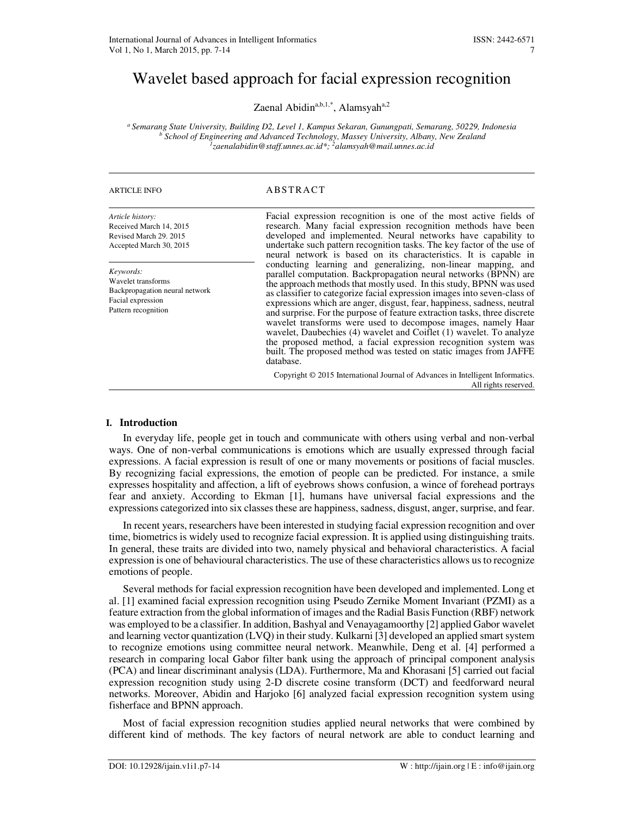# Wavelet based approach for facial expression recognition

Zaenal Abidin<sup>a,b,1,\*</sup>, Alamsyah<sup>a,2</sup>

*<sup>a</sup>Semarang State University, Building D2, Level 1, Kampus Sekaran, Gunungpati, Semarang, 50229, Indonesia <sup>b</sup> School of Engineering and Advanced Technology, Massey University, Albany, New Zealand 1 zaenalabidin@staff.unnes.ac.id\*; <sup>2</sup>alamsyah@mail.unnes.ac.id*

| <b>ARTICLE INFO</b>                                                                                           | ABSTRACT                                                                                                                                                                                                                                                                                                                                                                                                                                                                                                                                                                                                                                                                                                                                  |
|---------------------------------------------------------------------------------------------------------------|-------------------------------------------------------------------------------------------------------------------------------------------------------------------------------------------------------------------------------------------------------------------------------------------------------------------------------------------------------------------------------------------------------------------------------------------------------------------------------------------------------------------------------------------------------------------------------------------------------------------------------------------------------------------------------------------------------------------------------------------|
| Article history:<br>Received March 14, 2015<br>Revised March 29, 2015<br>Accepted March 30, 2015              | Facial expression recognition is one of the most active fields of<br>research. Many facial expression recognition methods have been<br>developed and implemented. Neural networks have capability to<br>undertake such pattern recognition tasks. The key factor of the use of<br>neural network is based on its characteristics. It is capable in                                                                                                                                                                                                                                                                                                                                                                                        |
| Keywords:<br>Wavelet transforms<br>Backpropagation neural network<br>Facial expression<br>Pattern recognition | conducting learning and generalizing, non-linear mapping, and<br>parallel computation. Backpropagation neural networks (BPNN) are<br>the approach methods that mostly used. In this study, BPNN was used<br>as classifier to categorize facial expression images into seven-class of<br>expressions which are anger, disgust, fear, happiness, sadness, neutral<br>and surprise. For the purpose of feature extraction tasks, three discrete<br>wavelet transforms were used to decompose images, namely Haar<br>wavelet, Daubechies (4) wavelet and Coiflet (1) wavelet. To analyze<br>the proposed method, a facial expression recognition system was<br>built. The proposed method was tested on static images from JAFFE<br>database. |
|                                                                                                               | Copyright © 2015 International Journal of Advances in Intelligent Informatics.<br>All rights reserved.                                                                                                                                                                                                                                                                                                                                                                                                                                                                                                                                                                                                                                    |

## **I. Introduction**

In everyday life, people get in touch and communicate with others using verbal and non-verbal ways. One of non-verbal communications is emotions which are usually expressed through facial expressions. A facial expression is result of one or many movements or positions of facial muscles. By recognizing facial expressions, the emotion of people can be predicted. For instance, a smile expresses hospitality and affection, a lift of eyebrows shows confusion, a wince of forehead portrays fear and anxiety. According to Ekman [1], humans have universal facial expressions and the expressions categorized into six classes these are happiness, sadness, disgust, anger, surprise, and fear.

In recent years, researchers have been interested in studying facial expression recognition and over time, biometrics is widely used to recognize facial expression. It is applied using distinguishing traits. In general, these traits are divided into two, namely physical and behavioral characteristics. A facial expression is one of behavioural characteristics. The use of these characteristics allows us to recognize emotions of people.

Several methods for facial expression recognition have been developed and implemented. Long et al. [1] examined facial expression recognition using Pseudo Zernike Moment Invariant (PZMI) as a feature extraction from the global information of images and the Radial Basis Function (RBF) network was employed to be a classifier. In addition, Bashyal and Venayagamoorthy [2] applied Gabor wavelet and learning vector quantization (LVQ) in their study. Kulkarni [3] developed an applied smart system to recognize emotions using committee neural network. Meanwhile, Deng et al. [4] performed a research in comparing local Gabor filter bank using the approach of principal component analysis (PCA) and linear discriminant analysis (LDA). Furthermore, Ma and Khorasani [5] carried out facial expression recognition study using 2-D discrete cosine transform (DCT) and feedforward neural networks. Moreover, Abidin and Harjoko [6] analyzed facial expression recognition system using fisherface and BPNN approach.

Most of facial expression recognition studies applied neural networks that were combined by different kind of methods. The key factors of neural network are able to conduct learning and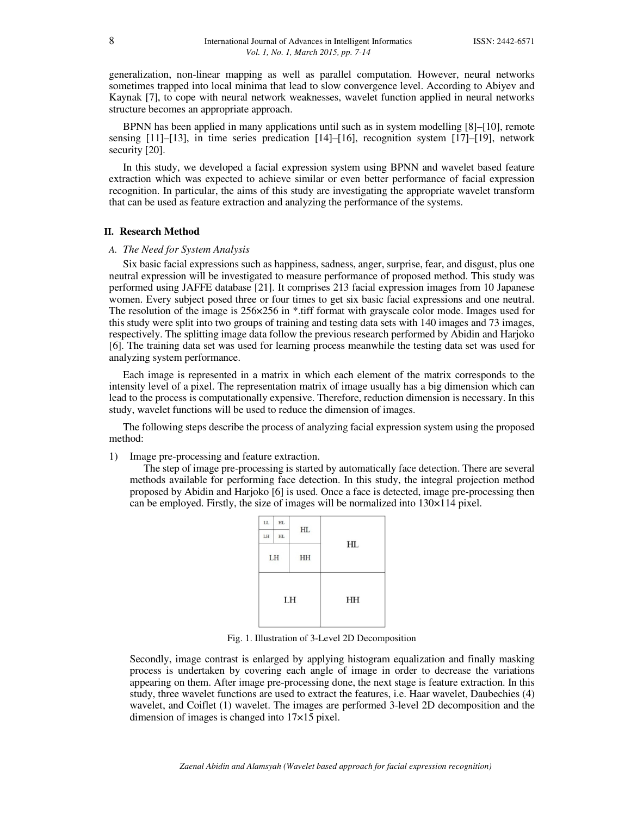generalization, non-linear mapping as well as parallel computation. However, neural networks sometimes trapped into local minima that lead to slow convergence level. According to Abiyev and Kaynak [7], to cope with neural network weaknesses, wavelet function applied in neural networks structure becomes an appropriate approach.

BPNN has been applied in many applications until such as in system modelling [8]–[10], remote sensing  $[11]$ – $[13]$ , in time series predication  $[14]$ – $[16]$ , recognition system  $[17]$ – $[19]$ , network security [20].

In this study, we developed a facial expression system using BPNN and wavelet based feature extraction which was expected to achieve similar or even better performance of facial expression recognition. In particular, the aims of this study are investigating the appropriate wavelet transform that can be used as feature extraction and analyzing the performance of the systems.

## **II. Research Method**

#### *A. The Need for System Analysis*

Six basic facial expressions such as happiness, sadness, anger, surprise, fear, and disgust, plus one neutral expression will be investigated to measure performance of proposed method. This study was performed using JAFFE database [21]. It comprises 213 facial expression images from 10 Japanese women. Every subject posed three or four times to get six basic facial expressions and one neutral. The resolution of the image is 256×256 in \*.tiff format with grayscale color mode. Images used for this study were split into two groups of training and testing data sets with 140 images and 73 images, respectively. The splitting image data follow the previous research performed by Abidin and Harjoko [6]. The training data set was used for learning process meanwhile the testing data set was used for analyzing system performance.

Each image is represented in a matrix in which each element of the matrix corresponds to the intensity level of a pixel. The representation matrix of image usually has a big dimension which can lead to the process is computationally expensive. Therefore, reduction dimension is necessary. In this study, wavelet functions will be used to reduce the dimension of images.

The following steps describe the process of analyzing facial expression system using the proposed method:

1) Image pre-processing and feature extraction.

The step of image pre-processing is started by automatically face detection. There are several methods available for performing face detection. In this study, the integral projection method proposed by Abidin and Harjoko [6] is used. Once a face is detected, image pre-processing then can be employed. Firstly, the size of images will be normalized into 130×114 pixel.

| LL | HL       |           |    |  |  |  |
|----|----------|-----------|----|--|--|--|
| LH | $\rm HL$ | <b>HL</b> |    |  |  |  |
|    | LH       | HH        | HL |  |  |  |
|    | LH       |           | HH |  |  |  |

Fig. 1. Illustration of 3-Level 2D Decomposition

Secondly, image contrast is enlarged by applying histogram equalization and finally masking process is undertaken by covering each angle of image in order to decrease the variations appearing on them. After image pre-processing done, the next stage is feature extraction. In this study, three wavelet functions are used to extract the features, i.e. Haar wavelet, Daubechies (4) wavelet, and Coiflet (1) wavelet. The images are performed 3-level 2D decomposition and the dimension of images is changed into 17×15 pixel.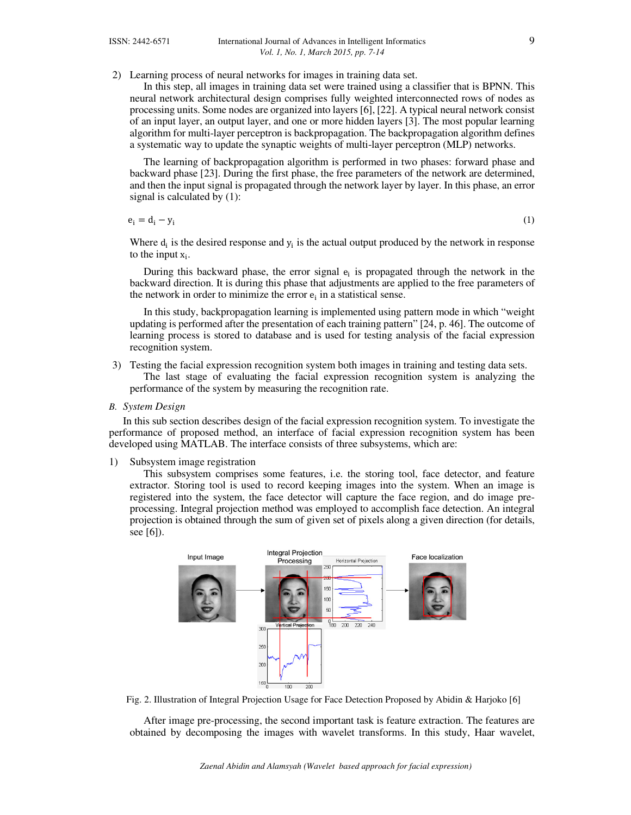2) Learning process of neural networks for images in training data set.

In this step, all images in training data set were trained using a classifier that is BPNN. This neural network architectural design comprises fully weighted interconnected rows of nodes as processing units. Some nodes are organized into layers [6], [22]. A typical neural network consist of an input layer, an output layer, and one or more hidden layers [3]. The most popular learning algorithm for multi-layer perceptron is backpropagation. The backpropagation algorithm defines a systematic way to update the synaptic weights of multi-layer perceptron (MLP) networks.

The learning of backpropagation algorithm is performed in two phases: forward phase and backward phase [23]. During the first phase, the free parameters of the network are determined, and then the input signal is propagated through the network layer by layer. In this phase, an error signal is calculated by (1):

$$
e_i = d_i - y_i
$$

(1)

Where  $d_i$  is the desired response and  $y_i$  is the actual output produced by the network in response to the input  $x_i$ .

During this backward phase, the error signal  $e_i$  is propagated through the network in the backward direction. It is during this phase that adjustments are applied to the free parameters of the network in order to minimize the error  $e_i$  in a statistical sense.

In this study, backpropagation learning is implemented using pattern mode in which "weight updating is performed after the presentation of each training pattern" [24, p. 46]. The outcome of learning process is stored to database and is used for testing analysis of the facial expression recognition system.

3) Testing the facial expression recognition system both images in training and testing data sets. The last stage of evaluating the facial expression recognition system is analyzing the

performance of the system by measuring the recognition rate.

*B. System Design* 

In this sub section describes design of the facial expression recognition system. To investigate the performance of proposed method, an interface of facial expression recognition system has been developed using MATLAB. The interface consists of three subsystems, which are:

#### 1) Subsystem image registration

This subsystem comprises some features, i.e. the storing tool, face detector, and feature extractor. Storing tool is used to record keeping images into the system. When an image is registered into the system, the face detector will capture the face region, and do image preprocessing. Integral projection method was employed to accomplish face detection. An integral projection is obtained through the sum of given set of pixels along a given direction (for details, see [6]).



Fig. 2. Illustration of Integral Projection Usage for Face Detection Proposed by Abidin & Harjoko [6]

After image pre-processing, the second important task is feature extraction. The features are obtained by decomposing the images with wavelet transforms. In this study, Haar wavelet,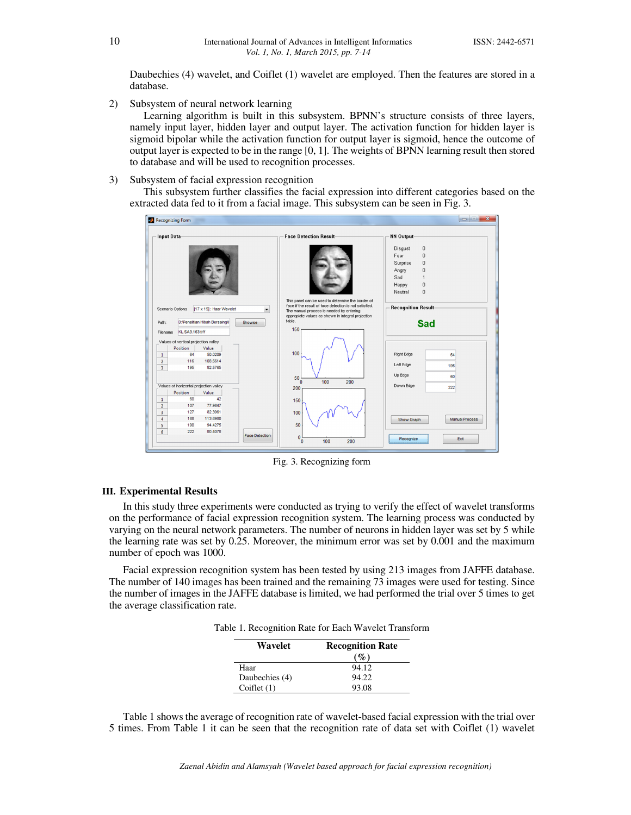Daubechies (4) wavelet, and Coiflet (1) wavelet are employed. Then the features are stored in a database.

2) Subsystem of neural network learning

Learning algorithm is built in this subsystem. BPNN's structure consists of three layers, namely input layer, hidden layer and output layer. The activation function for hidden layer is sigmoid bipolar while the activation function for output layer is sigmoid, hence the outcome of output layer is expected to be in the range [0, 1]. The weights of BPNN learning result then stored to database and will be used to recognition processes.

3) Subsystem of facial expression recognition

This subsystem further classifies the facial expression into different categories based on the extracted data fed to it from a facial image. This subsystem can be seen in Fig. 3.



Fig. 3. Recognizing form

### **III. Experimental Results**

In this study three experiments were conducted as trying to verify the effect of wavelet transforms on the performance of facial expression recognition system. The learning process was conducted by varying on the neural network parameters. The number of neurons in hidden layer was set by 5 while the learning rate was set by 0.25. Moreover, the minimum error was set by 0.001 and the maximum number of epoch was 1000.

Facial expression recognition system has been tested by using 213 images from JAFFE database. The number of 140 images has been trained and the remaining 73 images were used for testing. Since the number of images in the JAFFE database is limited, we had performed the trial over 5 times to get the average classification rate.

Table 1. Recognition Rate for Each Wavelet Transform

| Wavelet        | <b>Recognition Rate</b> |
|----------------|-------------------------|
|                | $($ %)                  |
| Haar           | 94.12                   |
| Daubechies (4) | 94.22                   |
| Coiflet $(1)$  | 93.08                   |

Table 1 shows the average of recognition rate of wavelet-based facial expression with the trial over 5 times. From Table 1 it can be seen that the recognition rate of data set with Coiflet (1) wavelet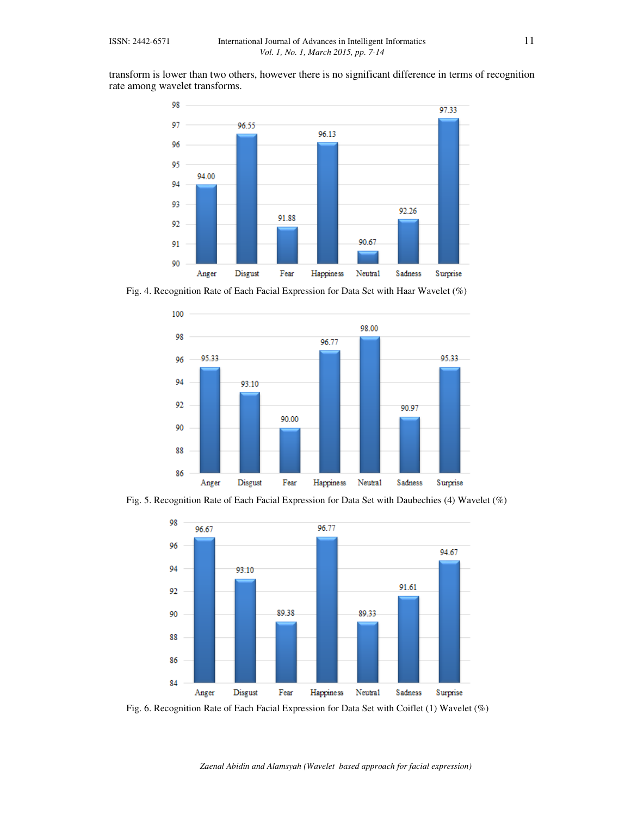transform is lower than two others, however there is no significant difference in terms of recognition rate among wavelet transforms.



Fig. 4. Recognition Rate of Each Facial Expression for Data Set with Haar Wavelet (%)



Fig. 5. Recognition Rate of Each Facial Expression for Data Set with Daubechies (4) Wavelet (%)



Fig. 6. Recognition Rate of Each Facial Expression for Data Set with Coiflet (1) Wavelet (%)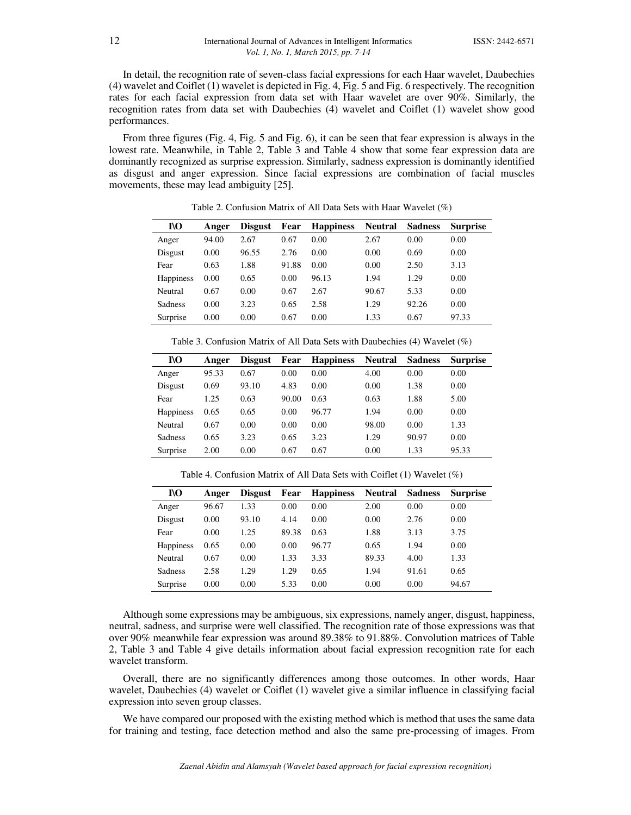In detail, the recognition rate of seven-class facial expressions for each Haar wavelet, Daubechies (4) wavelet and Coiflet (1) wavelet is depicted in Fig. 4, Fig. 5 and Fig. 6 respectively. The recognition rates for each facial expression from data set with Haar wavelet are over 90%. Similarly, the recognition rates from data set with Daubechies (4) wavelet and Coiflet (1) wavelet show good performances.

From three figures (Fig. 4, Fig. 5 and Fig. 6), it can be seen that fear expression is always in the lowest rate. Meanwhile, in Table 2, Table 3 and Table 4 show that some fear expression data are dominantly recognized as surprise expression. Similarly, sadness expression is dominantly identified as disgust and anger expression. Since facial expressions are combination of facial muscles movements, these may lead ambiguity [25].

| ľЮ               | Anger | <b>Disgust</b> | Fear  | <b>Happiness</b> | <b>Neutral</b> | <b>Sadness</b> | <b>Surprise</b> |
|------------------|-------|----------------|-------|------------------|----------------|----------------|-----------------|
| Anger            | 94.00 | 2.67           | 0.67  | 0.00             | 2.67           | 0.00           | 0.00            |
| Disgust          | 0.00  | 96.55          | 2.76  | 0.00             | 0.00           | 0.69           | 0.00            |
| Fear             | 0.63  | 1.88           | 91.88 | 0.00             | 0.00           | 2.50           | 3.13            |
| <b>Happiness</b> | 0.00  | 0.65           | 0.00  | 96.13            | 1.94           | 1.29           | 0.00            |
| Neutral          | 0.67  | 0.00           | 0.67  | 2.67             | 90.67          | 5.33           | 0.00            |
| <b>Sadness</b>   | 0.00  | 3.23           | 0.65  | 2.58             | 1.29           | 92.26          | 0.00            |
| Surprise         | 0.00  | 0.00           | 0.67  | 0.00             | 1.33           | 0.67           | 97.33           |

Table 2. Confusion Matrix of All Data Sets with Haar Wavelet (%)

Table 3. Confusion Matrix of All Data Sets with Daubechies (4) Wavelet (%)

| ľЮ               | Anger | <b>Disgust</b> | Fear  | <b>Happiness</b> | <b>Neutral</b> | <b>Sadness</b> | <b>Surprise</b> |
|------------------|-------|----------------|-------|------------------|----------------|----------------|-----------------|
| Anger            | 95.33 | 0.67           | 0.00  | 0.00             | 4.00           | 0.00           | 0.00            |
| Disgust          | 0.69  | 93.10          | 4.83  | 0.00             | 0.00           | 1.38           | 0.00            |
| Fear             | 1.25  | 0.63           | 90.00 | 0.63             | 0.63           | 1.88           | 5.00            |
| <b>Happiness</b> | 0.65  | 0.65           | 0.00  | 96.77            | 1.94           | 0.00           | 0.00            |
| Neutral          | 0.67  | 0.00           | 0.00  | 0.00             | 98.00          | 0.00           | 1.33            |
| <b>Sadness</b>   | 0.65  | 3.23           | 0.65  | 3.23             | 1.29           | 90.97          | 0.00            |
| Surprise         | 2.00  | 0.00           | 0.67  | 0.67             | 0.00           | 1.33           | 95.33           |

Table 4. Confusion Matrix of All Data Sets with Coiflet (1) Wavelet (%)

| <b>NO</b>        | Anger | <b>Disgust</b> | Fear  | <b>Happiness</b> | <b>Neutral</b> | <b>Sadness</b> | <b>Surprise</b> |
|------------------|-------|----------------|-------|------------------|----------------|----------------|-----------------|
| Anger            | 96.67 | 1.33           | 0.00  | 0.00             | 2.00           | 0.00           | 0.00            |
| Disgust          | 0.00  | 93.10          | 4.14  | 0.00             | 0.00           | 2.76           | 0.00            |
| Fear             | 0.00  | 1.25           | 89.38 | 0.63             | 1.88           | 3.13           | 3.75            |
| <b>Happiness</b> | 0.65  | 0.00           | 0.00  | 96.77            | 0.65           | 1.94           | 0.00            |
| Neutral          | 0.67  | 0.00           | 1.33  | 3.33             | 89.33          | 4.00           | 1.33            |
| <b>Sadness</b>   | 2.58  | 1.29           | 1.29  | 0.65             | 1.94           | 91.61          | 0.65            |
| Surprise         | 0.00  | 0.00           | 5.33  | 0.00             | 0.00           | 0.00           | 94.67           |

Although some expressions may be ambiguous, six expressions, namely anger, disgust, happiness, neutral, sadness, and surprise were well classified. The recognition rate of those expressions was that over 90% meanwhile fear expression was around 89.38% to 91.88%. Convolution matrices of Table 2, Table 3 and Table 4 give details information about facial expression recognition rate for each wavelet transform.

Overall, there are no significantly differences among those outcomes. In other words, Haar wavelet, Daubechies (4) wavelet or Coiflet (1) wavelet give a similar influence in classifying facial expression into seven group classes.

We have compared our proposed with the existing method which is method that uses the same data for training and testing, face detection method and also the same pre-processing of images. From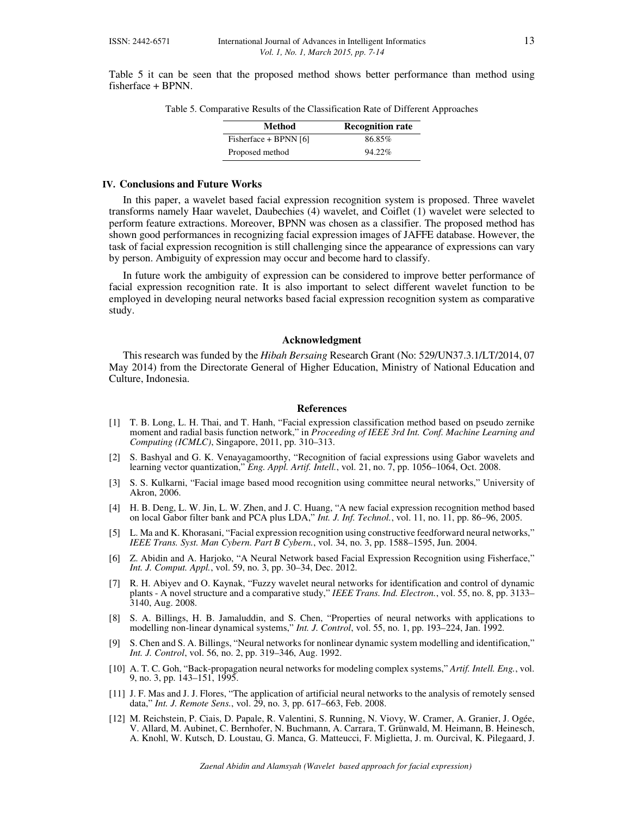Table 5 it can be seen that the proposed method shows better performance than method using fisherface + BPNN.

|  |  | Table 5. Comparative Results of the Classification Rate of Different Approaches |  |
|--|--|---------------------------------------------------------------------------------|--|
|  |  |                                                                                 |  |

| Method                  | <b>Recognition rate</b> |
|-------------------------|-------------------------|
| Fisherface + BPNN $[6]$ | 86.85%                  |
| Proposed method         | 94.22%                  |

#### **IV. Conclusions and Future Works**

In this paper, a wavelet based facial expression recognition system is proposed. Three wavelet transforms namely Haar wavelet, Daubechies (4) wavelet, and Coiflet (1) wavelet were selected to perform feature extractions. Moreover, BPNN was chosen as a classifier. The proposed method has shown good performances in recognizing facial expression images of JAFFE database. However, the task of facial expression recognition is still challenging since the appearance of expressions can vary by person. Ambiguity of expression may occur and become hard to classify.

In future work the ambiguity of expression can be considered to improve better performance of facial expression recognition rate. It is also important to select different wavelet function to be employed in developing neural networks based facial expression recognition system as comparative study.

## **Acknowledgment**

This research was funded by the *Hibah Bersaing* Research Grant (No: 529/UN37.3.1/LT/2014, 07 May 2014) from the Directorate General of Higher Education, Ministry of National Education and Culture, Indonesia.

#### **References**

- [1] T. B. Long, L. H. Thai, and T. Hanh, "Facial expression classification method based on pseudo zernike moment and radial basis function network," in *Proceeding of IEEE 3rd Int. Conf. Machine Learning and Computing (ICMLC)*, Singapore, 2011, pp. 310–313.
- [2] S. Bashyal and G. K. Venayagamoorthy, "Recognition of facial expressions using Gabor wavelets and learning vector quantization," *Eng. Appl. Artif. Intell.*, vol. 21, no. 7, pp. 1056–1064, Oct. 2008.
- [3] S. S. Kulkarni, "Facial image based mood recognition using committee neural networks," University of Akron, 2006.
- [4] H. B. Deng, L. W. Jin, L. W. Zhen, and J. C. Huang, "A new facial expression recognition method based on local Gabor filter bank and PCA plus LDA," *Int. J. Inf. Technol.*, vol. 11, no. 11, pp. 86–96, 2005.
- [5] L. Ma and K. Khorasani, "Facial expression recognition using constructive feedforward neural networks," *IEEE Trans. Syst. Man Cybern. Part B Cybern.*, vol. 34, no. 3, pp. 1588–1595, Jun. 2004.
- [6] Z. Abidin and A. Harjoko, "A Neural Network based Facial Expression Recognition using Fisherface," *Int. J. Comput. Appl.*, vol. 59, no. 3, pp. 30–34, Dec. 2012.
- [7] R. H. Abiyev and O. Kaynak, "Fuzzy wavelet neural networks for identification and control of dynamic plants - A novel structure and a comparative study," *IEEE Trans. Ind. Electron.*, vol. 55, no. 8, pp. 3133– 3140, Aug. 2008.
- [8] S. A. Billings, H. B. Jamaluddin, and S. Chen, "Properties of neural networks with applications to modelling non-linear dynamical systems," *Int. J. Control*, vol. 55, no. 1, pp. 193–224, Jan. 1992.
- [9] S. Chen and S. A. Billings, "Neural networks for nonlinear dynamic system modelling and identification," *Int. J. Control*, vol. 56, no. 2, pp. 319–346, Aug. 1992.
- [10] A. T. C. Goh, "Back-propagation neural networks for modeling complex systems," *Artif. Intell. Eng.*, vol. 9, no. 3, pp. 143–151, 1995.
- [11] J. F. Mas and J. J. Flores, "The application of artificial neural networks to the analysis of remotely sensed data," *Int. J. Remote Sens.*, vol. 29, no. 3, pp. 617–663, Feb. 2008.
- [12] M. Reichstein, P. Ciais, D. Papale, R. Valentini, S. Running, N. Viovy, W. Cramer, A. Granier, J. Ogée, V. Allard, M. Aubinet, C. Bernhofer, N. Buchmann, A. Carrara, T. Grünwald, M. Heimann, B. Heinesch, A. Knohl, W. Kutsch, D. Loustau, G. Manca, G. Matteucci, F. Miglietta, J. m. Ourcival, K. Pilegaard, J.